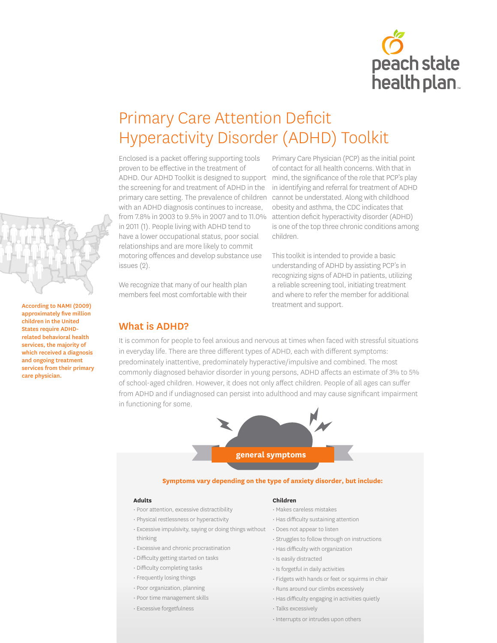

# Primary Care Attention Deficit Hyperactivity Disorder (ADHD) Toolkit

Enclosed is a packet offering supporting tools proven to be effective in the treatment of ADHD. Our ADHD Toolkit is designed to support the screening for and treatment of ADHD in the primary care setting. The prevalence of children with an ADHD diagnosis continues to increase, from 7.8% in 2003 to 9.5% in 2007 and to 11.0% in 2011 (1). People living with ADHD tend to have a lower occupational status, poor social relationships and are more likely to commit motoring offences and develop substance use issues (2).

We recognize that many of our health plan members feel most comfortable with their

## What is ADHD?

Primary Care Physician (PCP) as the initial point of contact for all health concerns. With that in mind, the significance of the role that PCP's play in identifying and referral for treatment of ADHD cannot be understated. Along with childhood obesity and asthma, the CDC indicates that attention deficit hyperactivity disorder (ADHD) is one of the top three chronic conditions among children.

This toolkit is intended to provide a basic understanding of ADHD by assisting PCP's in recognizing signs of ADHD in patients, utilizing a reliable screening tool, initiating treatment and where to refer the member for additional treatment and support.

It is common for people to feel anxious and nervous at times when faced with stressful situations in everyday life. There are three different types of ADHD, each with different symptoms: predominately inattentive, predominately hyperactive/impulsive and combined. The most commonly diagnosed behavior disorder in young persons, ADHD affects an estimate of 3% to 5% of school-aged children. However, it does not only affect children. People of all ages can suffer from ADHD and if undiagnosed can persist into adulthood and may cause significant impairment in functioning for some.



#### **Symptoms vary depending on the type of anxiety disorder, but include:**

#### **Adults**

- Poor attention, excessive distractibility
- Physical restlessness or hyperactivity
- Excessive impulsivity, saying or doing things without thinking
- Excessive and chronic procrastination
- Difficulty getting started on tasks
- Difficulty completing tasks
- Frequently losing things
- Poor organization, planning
- Poor time management skills
- Excessive forgetfulness

#### **Children**

- Makes careless mistakes • Has difficulty sustaining attention
- Does not appear to listen
- 
- Struggles to follow through on instructions
- Has difficulty with organization
- Is easily distracted
- Is forgetful in daily activities
- Fidgets with hands or feet or squirms in chair
- Runs around our climbs excessively
- Has difficulty engaging in activities quietly
- Talks excessively
- Interrupts or intrudes upon others

Claims Center

According to NAMI (2009) approximately five million children in the United States require ADHDrelated behavioral health services, the majority of which received a diagnosis and ongoing treatment services from their primary care physician.